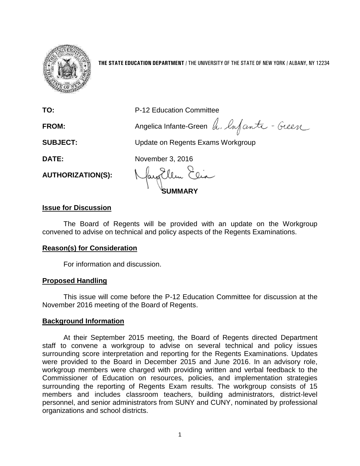

**THE STATE EDUCATION DEPARTMENT** / THE UNIVERSITY OF THE STATE OF NEW YORK / ALBANY, NY 12234

**TO:** P-12 Education Committee

**FROM:** Angelica Infante-Green h. Infanta - Green

**SUBJECT:** Update on Regents Exams Workgroup

**DATE:** November 3, 2016

**AUTHORIZATION(S):**

**SUMMARY**

# **Issue for Discussion**

The Board of Regents will be provided with an update on the Workgroup convened to advise on technical and policy aspects of the Regents Examinations.

# **Reason(s) for Consideration**

For information and discussion.

# **Proposed Handling**

This issue will come before the P-12 Education Committee for discussion at the November 2016 meeting of the Board of Regents.

# **Background Information**

At their September 2015 meeting, the Board of Regents directed Department staff to convene a workgroup to advise on several technical and policy issues surrounding score interpretation and reporting for the Regents Examinations. Updates were provided to the Board in December 2015 and June 2016. In an advisory role, workgroup members were charged with providing written and verbal feedback to the Commissioner of Education on resources, policies, and implementation strategies surrounding the reporting of Regents Exam results. The workgroup consists of 15 members and includes classroom teachers, building administrators, district-level personnel, and senior administrators from SUNY and CUNY, nominated by professional organizations and school districts.